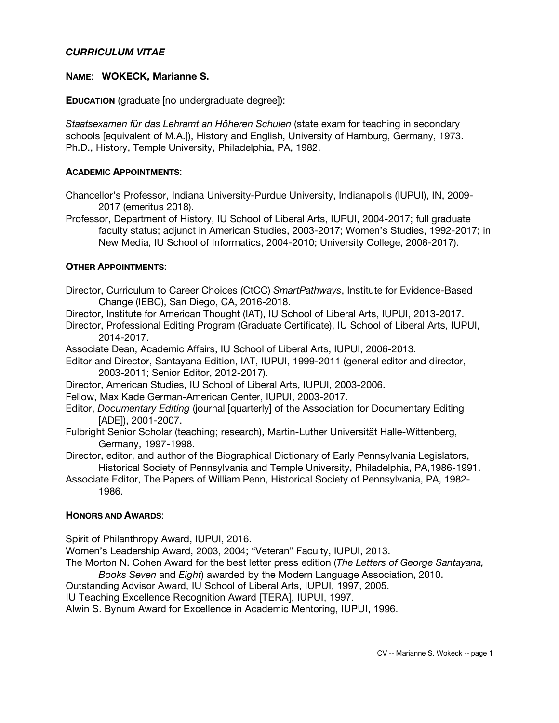# *CURRICULUM VITAE*

### **NAME**: **WOKECK, Marianne S.**

**EDUCATION** (graduate [no undergraduate degree]):

*Staatsexamen für das Lehramt an Höheren Schulen* (state exam for teaching in secondary schools [equivalent of M.A.]), History and English, University of Hamburg, Germany, 1973. Ph.D., History, Temple University, Philadelphia, PA, 1982.

### **ACADEMIC APPOINTMENTS**:

- Chancellor's Professor, Indiana University-Purdue University, Indianapolis (IUPUI), IN, 2009- 2017 (emeritus 2018).
- Professor, Department of History, IU School of Liberal Arts, IUPUI, 2004-2017; full graduate faculty status; adjunct in American Studies, 2003-2017; Women's Studies, 1992-2017; in New Media, IU School of Informatics, 2004-2010; University College, 2008-2017).

# **OTHER APPOINTMENTS**:

- Director, Curriculum to Career Choices (CtCC) *SmartPathways*, Institute for Evidence-Based Change (IEBC), San Diego, CA, 2016-2018.
- Director, Institute for American Thought (IAT), IU School of Liberal Arts, IUPUI, 2013-2017.
- Director, Professional Editing Program (Graduate Certificate), IU School of Liberal Arts, IUPUI, 2014-2017.
- Associate Dean, Academic Affairs, IU School of Liberal Arts, IUPUI, 2006-2013.
- Editor and Director, Santayana Edition, IAT, IUPUI, 1999-2011 (general editor and director, 2003-2011; Senior Editor, 2012-2017).
- Director, American Studies, IU School of Liberal Arts, IUPUI, 2003-2006.
- Fellow, Max Kade German-American Center, IUPUI, 2003-2017.
- Editor, *Documentary Editing* (journal [quarterly] of the Association for Documentary Editing [ADE]), 2001-2007.
- Fulbright Senior Scholar (teaching; research), Martin-Luther Universität Halle-Wittenberg, Germany, 1997-1998.
- Director, editor, and author of the Biographical Dictionary of Early Pennsylvania Legislators, Historical Society of Pennsylvania and Temple University, Philadelphia, PA,1986-1991.
- Associate Editor, The Papers of William Penn, Historical Society of Pennsylvania, PA, 1982- 1986.

### **HONORS AND AWARDS**:

Spirit of Philanthropy Award, IUPUI, 2016.

Women's Leadership Award, 2003, 2004; "Veteran" Faculty, IUPUI, 2013.

- The Morton N. Cohen Award for the best letter press edition (*The Letters of George Santayana, Books Seven* and *Eight*) awarded by the Modern Language Association, 2010.
- Outstanding Advisor Award, IU School of Liberal Arts, IUPUI, 1997, 2005.
- IU Teaching Excellence Recognition Award [TERA], IUPUI, 1997.

Alwin S. Bynum Award for Excellence in Academic Mentoring, IUPUI, 1996.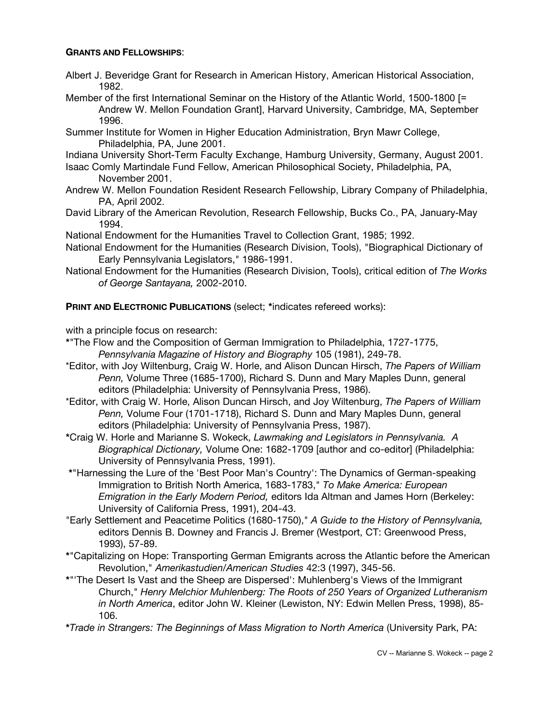### **GRANTS AND FELLOWSHIPS**:

- Albert J. Beveridge Grant for Research in American History, American Historical Association, 1982.
- Member of the first International Seminar on the History of the Atlantic World, 1500-1800 [= Andrew W. Mellon Foundation Grant], Harvard University, Cambridge, MA, September 1996.
- Summer Institute for Women in Higher Education Administration, Bryn Mawr College, Philadelphia, PA, June 2001.
- Indiana University Short-Term Faculty Exchange, Hamburg University, Germany, August 2001.
- Isaac Comly Martindale Fund Fellow, American Philosophical Society, Philadelphia, PA, November 2001.
- Andrew W. Mellon Foundation Resident Research Fellowship, Library Company of Philadelphia, PA, April 2002.
- David Library of the American Revolution, Research Fellowship, Bucks Co., PA, January-May 1994.
- National Endowment for the Humanities Travel to Collection Grant, 1985; 1992.
- National Endowment for the Humanities (Research Division, Tools), "Biographical Dictionary of Early Pennsylvania Legislators," 1986-1991.
- National Endowment for the Humanities (Research Division, Tools), critical edition of *The Works of George Santayana,* 2002-2010.

**PRINT AND ELECTRONIC PUBLICATIONS** (select; **\***indicates refereed works):

with a principle focus on research:

- **\***"The Flow and the Composition of German Immigration to Philadelphia, 1727-1775, *Pennsylvania Magazine of History and Biography* 105 (1981), 249-78.
- \*Editor, with Joy Wiltenburg, Craig W. Horle, and Alison Duncan Hirsch, *The Papers of William Penn,* Volume Three (1685-1700), Richard S. Dunn and Mary Maples Dunn, general editors (Philadelphia: University of Pennsylvania Press, 1986).
- \*Editor, with Craig W. Horle, Alison Duncan Hirsch, and Joy Wiltenburg, *The Papers of William Penn,* Volume Four (1701-1718), Richard S. Dunn and Mary Maples Dunn, general editors (Philadelphia: University of Pennsylvania Press, 1987).
- **\***Craig W. Horle and Marianne S. Wokeck, *Lawmaking and Legislators in Pennsylvania. A Biographical Dictionary,* Volume One: 1682-1709 [author and co-editor] (Philadelphia: University of Pennsylvania Press, 1991).
- **\***"Harnessing the Lure of the 'Best Poor Man's Country': The Dynamics of German-speaking Immigration to British North America, 1683-1783," *To Make America: European Emigration in the Early Modern Period,* editors Ida Altman and James Horn (Berkeley: University of California Press, 1991), 204-43.
- "Early Settlement and Peacetime Politics (1680-1750)," *A Guide to the History of Pennsylvania,* editors Dennis B. Downey and Francis J. Bremer (Westport, CT: Greenwood Press, 1993), 57-89.
- **\***"Capitalizing on Hope: Transporting German Emigrants across the Atlantic before the American Revolution," *Amerikastudien/American Studies* 42:3 (1997), 345-56.
- **\***"'The Desert Is Vast and the Sheep are Dispersed': Muhlenberg's Views of the Immigrant Church," *Henry Melchior Muhlenberg: The Roots of 250 Years of Organized Lutheranism in North America*, editor John W. Kleiner (Lewiston, NY: Edwin Mellen Press, 1998), 85- 106.

**\****Trade in Strangers: The Beginnings of Mass Migration to North America* (University Park, PA: